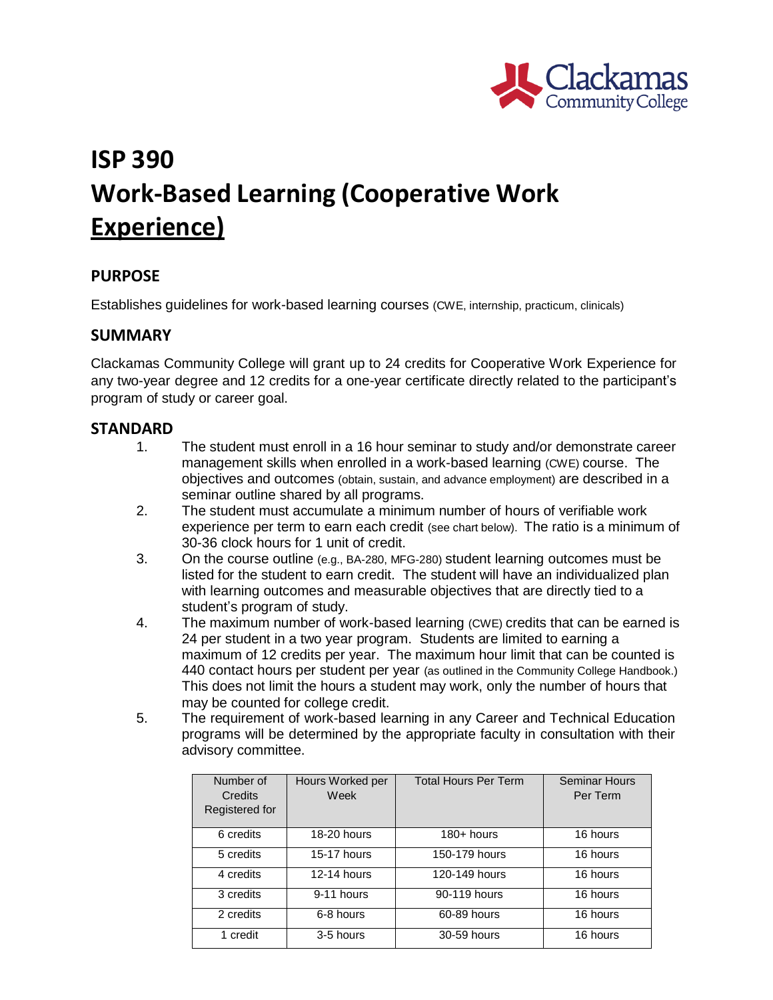

# **ISP 390 Work-Based Learning (Cooperative Work Experience)**

### **PURPOSE**

Establishes guidelines for work-based learning courses (CWE, internship, practicum, clinicals)

### **SUMMARY**

Clackamas Community College will grant up to 24 credits for Cooperative Work Experience for any two-year degree and 12 credits for a one-year certificate directly related to the participant's program of study or career goal.

#### **STANDARD**

- 1. The student must enroll in a 16 hour seminar to study and/or demonstrate career management skills when enrolled in a work-based learning (CWE) course. The objectives and outcomes (obtain, sustain, and advance employment) are described in a seminar outline shared by all programs.
- 2. The student must accumulate a minimum number of hours of verifiable work experience per term to earn each credit (see chart below). The ratio is a minimum of 30-36 clock hours for 1 unit of credit.
- 3. On the course outline (e.g., BA-280, MFG-280) student learning outcomes must be listed for the student to earn credit. The student will have an individualized plan with learning outcomes and measurable objectives that are directly tied to a student's program of study.
- 4. The maximum number of work-based learning (CWE) credits that can be earned is 24 per student in a two year program. Students are limited to earning a maximum of 12 credits per year. The maximum hour limit that can be counted is 440 contact hours per student per year (as outlined in the Community College Handbook.) This does not limit the hours a student may work, only the number of hours that may be counted for college credit.
- 5. The requirement of work-based learning in any Career and Technical Education programs will be determined by the appropriate faculty in consultation with their advisory committee.

| Number of<br>Credits<br>Registered for | Hours Worked per<br>Week | <b>Total Hours Per Term</b> | <b>Seminar Hours</b><br>Per Term |
|----------------------------------------|--------------------------|-----------------------------|----------------------------------|
| 6 credits                              | 18-20 hours              | $180 +$ hours               | 16 hours                         |
| 5 credits                              | 15-17 hours              | 150-179 hours               | 16 hours                         |
| 4 credits                              | 12-14 hours              | 120-149 hours               | 16 hours                         |
| 3 credits                              | 9-11 hours               | 90-119 hours                | 16 hours                         |
| 2 credits                              | 6-8 hours                | 60-89 hours                 | 16 hours                         |
| 1 credit                               | 3-5 hours                | 30-59 hours                 | 16 hours                         |